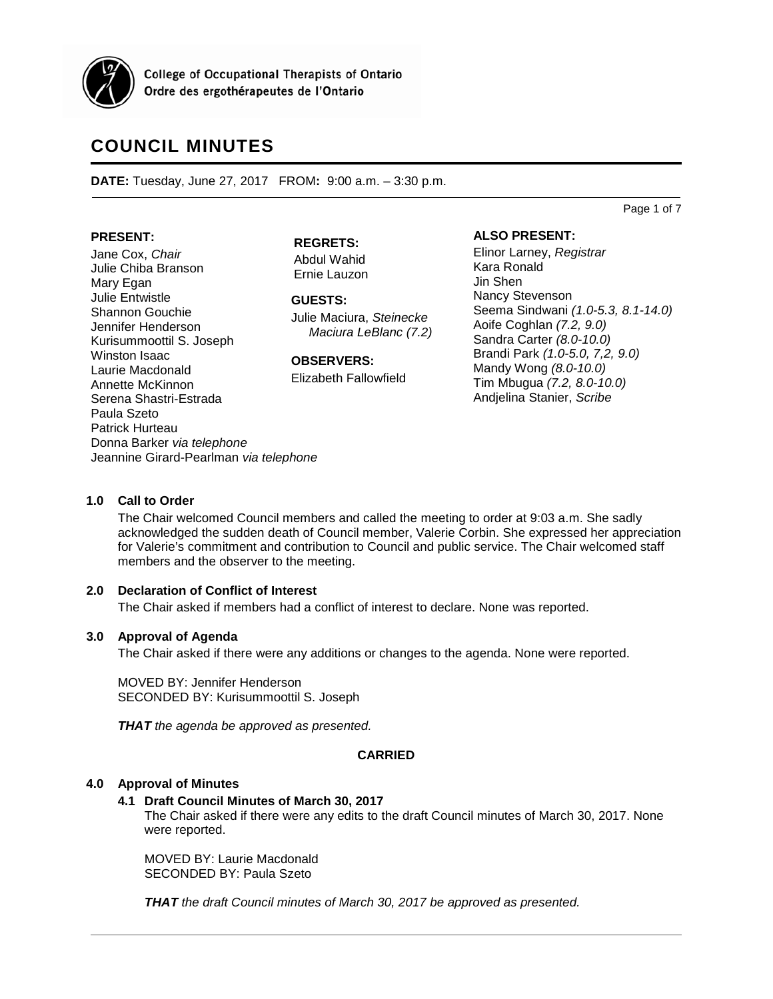

**College of Occupational Therapists of Ontario** Ordre des ergothérapeutes de l'Ontario

# **COUNCIL MINUTES**

**DATE:** Tuesday, June 27, 2017 FROM**:** 9:00 a.m. – 3:30 p.m.

Page 1 of 7

#### **PRESENT:**

Jane Cox, *Chair* Julie Chiba Branson Mary Egan Julie Entwistle Shannon Gouchie Jennifer Henderson Kurisummoottil S. Joseph Winston Isaac Laurie Macdonald Annette McKinnon Serena Shastri-Estrada Paula Szeto Patrick Hurteau Donna Barker *via telephone* Jeannine Girard-Pearlman *via telephone*

**REGRETS:**

Abdul Wahid Ernie Lauzon

**GUESTS:** Julie Maciura, *Steinecke Maciura LeBlanc (7.2)*

**OBSERVERS:**

Elizabeth Fallowfield

**ALSO PRESENT:**

Elinor Larney, *Registrar* Kara Ronald Jin Shen Nancy Stevenson Seema Sindwani *(1.0-5.3, 8.1-14.0)* Aoife Coghlan *(7.2, 9.0)* Sandra Carter *(8.0-10.0)* Brandi Park *(1.0-5.0, 7,2, 9.0)* Mandy Wong *(8.0-10.0)* Tim Mbugua *(7.2, 8.0-10.0)* Andjelina Stanier, *Scribe*

## **1.0 Call to Order**

The Chair welcomed Council members and called the meeting to order at 9:03 a.m. She sadly acknowledged the sudden death of Council member, Valerie Corbin. She expressed her appreciation for Valerie's commitment and contribution to Council and public service. The Chair welcomed staff members and the observer to the meeting.

## **2.0 Declaration of Conflict of Interest**

The Chair asked if members had a conflict of interest to declare. None was reported.

## **3.0 Approval of Agenda**

The Chair asked if there were any additions or changes to the agenda. None were reported.

MOVED BY: Jennifer Henderson SECONDED BY: Kurisummoottil S. Joseph

*THAT the agenda be approved as presented.*

## **CARRIED**

## **4.0 Approval of Minutes**

## **4.1 Draft Council Minutes of March 30, 2017**

The Chair asked if there were any edits to the draft Council minutes of March 30, 2017. None were reported.

MOVED BY: Laurie Macdonald SECONDED BY: Paula Szeto

*THAT the draft Council minutes of March 30, 2017 be approved as presented.*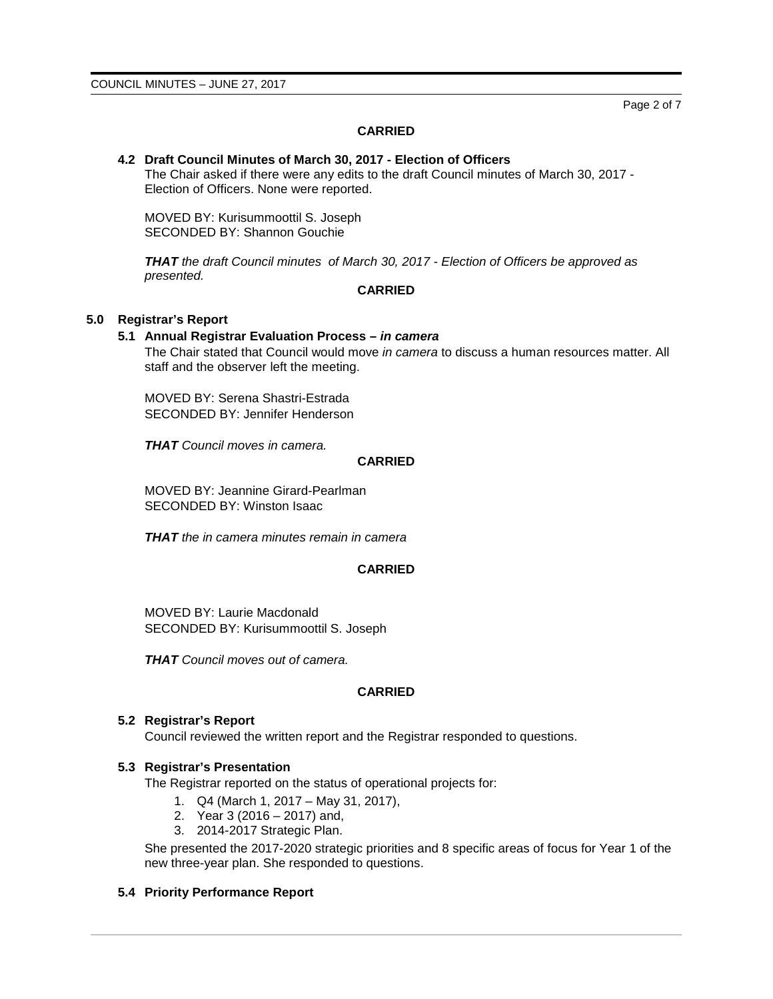Page 2 of 7

# **CARRIED**

# **4.2 Draft Council Minutes of March 30, 2017 - Election of Officers**

The Chair asked if there were any edits to the draft Council minutes of March 30, 2017 - Election of Officers. None were reported.

MOVED BY: Kurisummoottil S. Joseph SECONDED BY: Shannon Gouchie

*THAT the draft Council minutes of March 30, 2017 - Election of Officers be approved as presented.*

# **CARRIED**

# **5.0 Registrar's Report**

# **5.1 Annual Registrar Evaluation Process –** *in camera*

The Chair stated that Council would move *in camera* to discuss a human resources matter. All staff and the observer left the meeting.

MOVED BY: Serena Shastri-Estrada SECONDED BY: Jennifer Henderson

*THAT Council moves in camera.*

## **CARRIED**

MOVED BY: Jeannine Girard-Pearlman SECONDED BY: Winston Isaac

*THAT the in camera minutes remain in camera*

## **CARRIED**

MOVED BY: Laurie Macdonald SECONDED BY: Kurisummoottil S. Joseph

*THAT Council moves out of camera.*

# **CARRIED**

## **5.2 Registrar's Report**

Council reviewed the written report and the Registrar responded to questions.

## **5.3 Registrar's Presentation**

The Registrar reported on the status of operational projects for:

- 1. Q4 (March 1, 2017 May 31, 2017),
- 2. Year 3 (2016 2017) and,
- 3. 2014-2017 Strategic Plan.

She presented the 2017-2020 strategic priorities and 8 specific areas of focus for Year 1 of the new three-year plan. She responded to questions.

## **5.4 Priority Performance Report**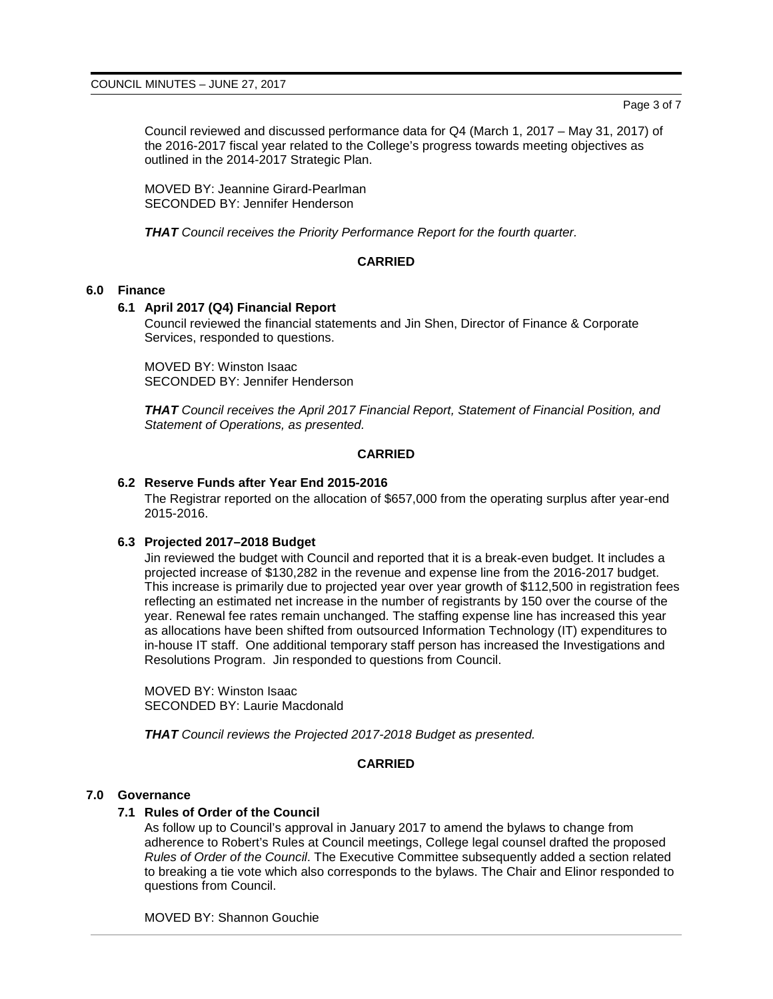Council reviewed and discussed performance data for Q4 (March 1, 2017 – May 31, 2017) of the 2016-2017 fiscal year related to the College's progress towards meeting objectives as outlined in the 2014-2017 Strategic Plan.

MOVED BY: Jeannine Girard-Pearlman SECONDED BY: Jennifer Henderson

*THAT Council receives the Priority Performance Report for the fourth quarter.*

# **CARRIED**

# **6.0 Finance**

# **6.1 April 2017 (Q4) Financial Report**

Council reviewed the financial statements and Jin Shen, Director of Finance & Corporate Services, responded to questions.

MOVED BY: Winston Isaac SECONDED BY: Jennifer Henderson

*THAT Council receives the April 2017 Financial Report, Statement of Financial Position, and Statement of Operations, as presented.*

# **CARRIED**

# **6.2 Reserve Funds after Year End 2015-2016**

The Registrar reported on the allocation of \$657,000 from the operating surplus after year-end 2015-2016.

## **6.3 Projected 2017–2018 Budget**

Jin reviewed the budget with Council and reported that it is a break-even budget. It includes a projected increase of \$130,282 in the revenue and expense line from the 2016-2017 budget. This increase is primarily due to projected year over year growth of \$112,500 in registration fees reflecting an estimated net increase in the number of registrants by 150 over the course of the year. Renewal fee rates remain unchanged. The staffing expense line has increased this year as allocations have been shifted from outsourced Information Technology (IT) expenditures to in-house IT staff. One additional temporary staff person has increased the Investigations and Resolutions Program. Jin responded to questions from Council.

MOVED BY: Winston Isaac SECONDED BY: Laurie Macdonald

*THAT Council reviews the Projected 2017-2018 Budget as presented.*

# **CARRIED**

## **7.0 Governance**

## **7.1 Rules of Order of the Council**

As follow up to Council's approval in January 2017 to amend the bylaws to change from adherence to Robert's Rules at Council meetings, College legal counsel drafted the proposed *Rules of Order of the Council*. The Executive Committee subsequently added a section related to breaking a tie vote which also corresponds to the bylaws. The Chair and Elinor responded to questions from Council.

MOVED BY: Shannon Gouchie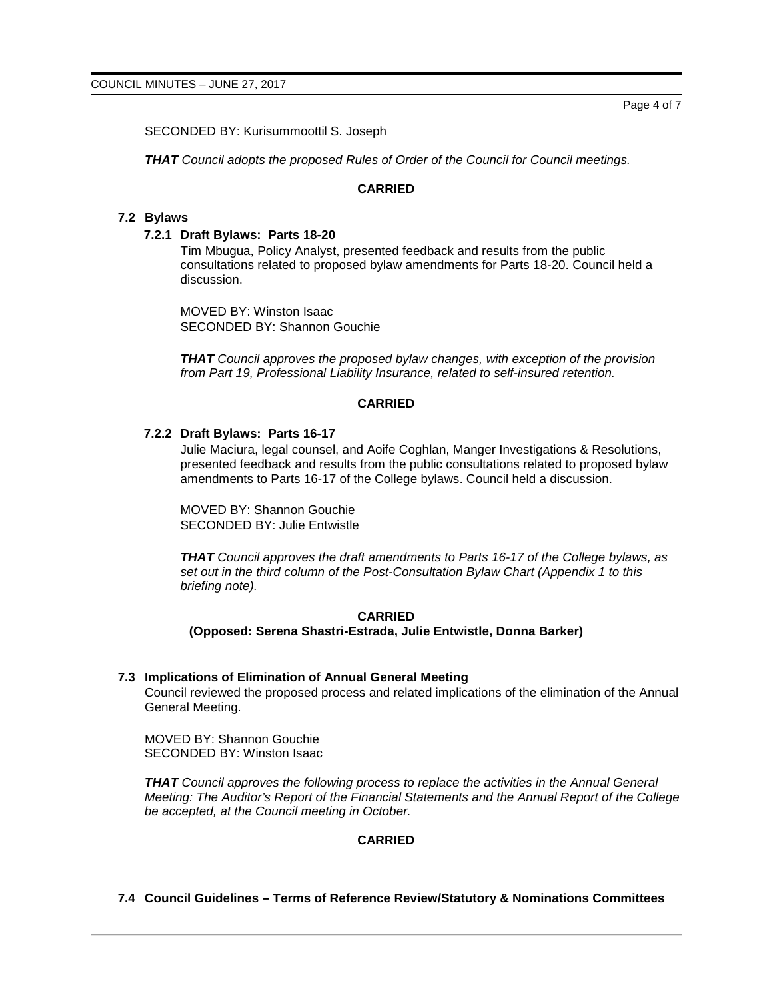Page 4 of 7

SECONDED BY: Kurisummoottil S. Joseph

*THAT Council adopts the proposed Rules of Order of the Council for Council meetings.*

### **CARRIED**

#### **7.2 Bylaws**

### **7.2.1 Draft Bylaws: Parts 18-20**

Tim Mbugua, Policy Analyst, presented feedback and results from the public consultations related to proposed bylaw amendments for Parts 18-20. Council held a discussion.

MOVED BY: Winston Isaac SECONDED BY: Shannon Gouchie

*THAT Council approves the proposed bylaw changes, with exception of the provision from Part 19, Professional Liability Insurance, related to self-insured retention.*

#### **CARRIED**

#### **7.2.2 Draft Bylaws: Parts 16-17**

Julie Maciura, legal counsel, and Aoife Coghlan, Manger Investigations & Resolutions, presented feedback and results from the public consultations related to proposed bylaw amendments to Parts 16-17 of the College bylaws. Council held a discussion.

MOVED BY: Shannon Gouchie SECONDED BY: Julie Entwistle

*THAT Council approves the draft amendments to Parts 16-17 of the College bylaws, as set out in the third column of the Post-Consultation Bylaw Chart (Appendix 1 to this briefing note).*

## **CARRIED (Opposed: Serena Shastri-Estrada, Julie Entwistle, Donna Barker)**

#### **7.3 Implications of Elimination of Annual General Meeting**

Council reviewed the proposed process and related implications of the elimination of the Annual General Meeting.

MOVED BY: Shannon Gouchie SECONDED BY: Winston Isaac

*THAT Council approves the following process to replace the activities in the Annual General Meeting: The Auditor's Report of the Financial Statements and the Annual Report of the College be accepted, at the Council meeting in October.*

# **CARRIED**

**7.4 Council Guidelines – Terms of Reference Review/Statutory & Nominations Committees**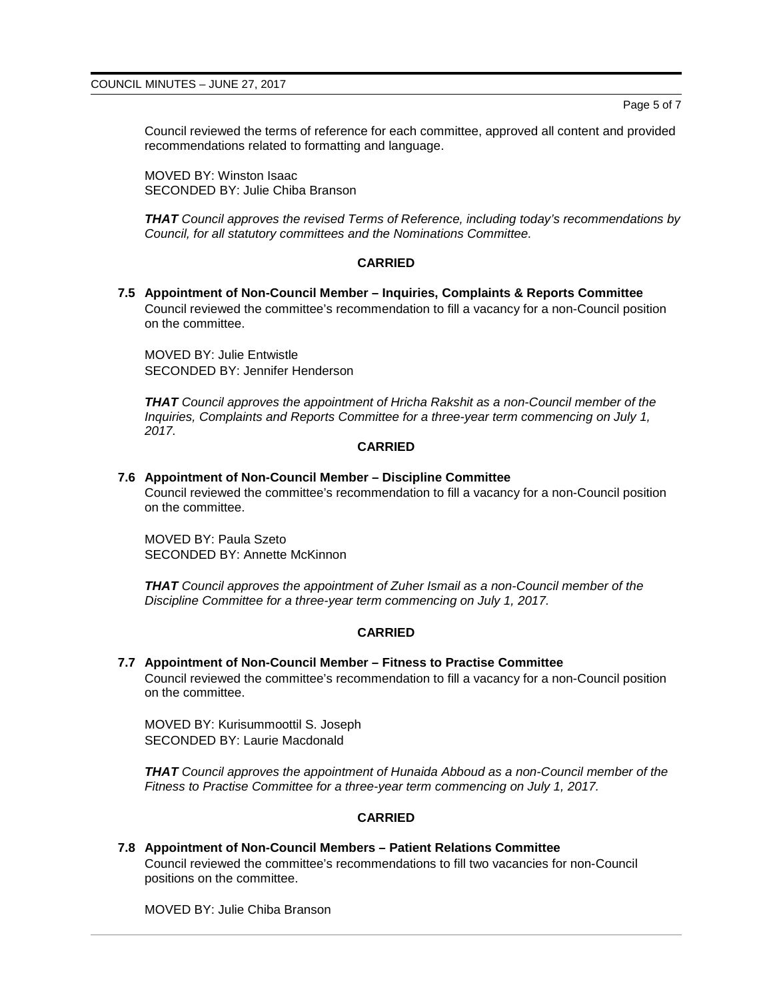Page 5 of 7

Council reviewed the terms of reference for each committee, approved all content and provided recommendations related to formatting and language.

MOVED BY: Winston Isaac SECONDED BY: Julie Chiba Branson

*THAT Council approves the revised Terms of Reference, including today's recommendations by Council, for all statutory committees and the Nominations Committee.*

#### **CARRIED**

**7.5 Appointment of Non-Council Member – Inquiries, Complaints & Reports Committee** Council reviewed the committee's recommendation to fill a vacancy for a non-Council position on the committee.

MOVED BY: Julie Entwistle SECONDED BY: Jennifer Henderson

*THAT Council approves the appointment of Hricha Rakshit as a non-Council member of the Inquiries, Complaints and Reports Committee for a three-year term commencing on July 1, 2017.*

#### **CARRIED**

# **7.6 Appointment of Non-Council Member – Discipline Committee**

Council reviewed the committee's recommendation to fill a vacancy for a non-Council position on the committee.

MOVED BY: Paula Szeto SECONDED BY: Annette McKinnon

*THAT Council approves the appointment of Zuher Ismail as a non-Council member of the Discipline Committee for a three-year term commencing on July 1, 2017.*

## **CARRIED**

#### **7.7 Appointment of Non-Council Member – Fitness to Practise Committee**

Council reviewed the committee's recommendation to fill a vacancy for a non-Council position on the committee.

MOVED BY: Kurisummoottil S. Joseph SECONDED BY: Laurie Macdonald

*THAT Council approves the appointment of Hunaida Abboud as a non-Council member of the Fitness to Practise Committee for a three-year term commencing on July 1, 2017.*

#### **CARRIED**

**7.8 Appointment of Non-Council Members – Patient Relations Committee** Council reviewed the committee's recommendations to fill two vacancies for non-Council positions on the committee.

MOVED BY: Julie Chiba Branson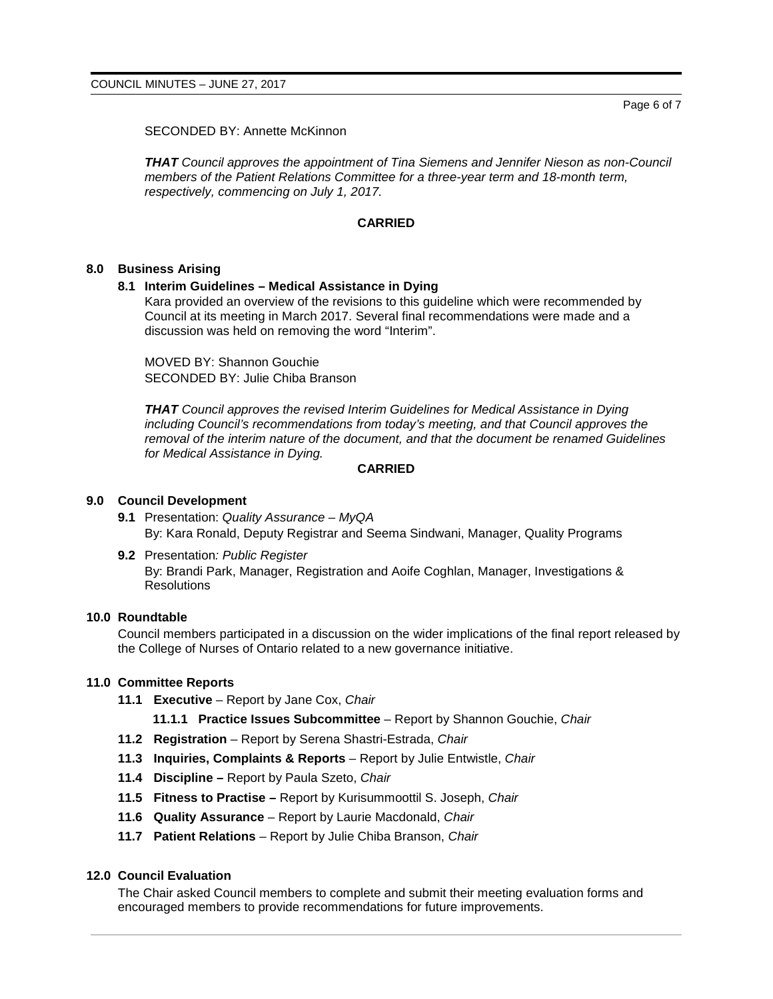SECONDED BY: Annette McKinnon

*THAT Council approves the appointment of Tina Siemens and Jennifer Nieson as non-Council members of the Patient Relations Committee for a three-year term and 18-month term, respectively, commencing on July 1, 2017.*

## **CARRIED**

#### **8.0 Business Arising**

#### **8.1 Interim Guidelines – Medical Assistance in Dying**

Kara provided an overview of the revisions to this guideline which were recommended by Council at its meeting in March 2017. Several final recommendations were made and a discussion was held on removing the word "Interim".

MOVED BY: Shannon Gouchie SECONDED BY: Julie Chiba Branson

*THAT Council approves the revised Interim Guidelines for Medical Assistance in Dying including Council's recommendations from today's meeting, and that Council approves the removal of the interim nature of the document, and that the document be renamed Guidelines for Medical Assistance in Dying.*

#### **CARRIED**

## **9.0 Council Development**

- **9.1** Presentation: *Quality Assurance – MyQA* By: Kara Ronald, Deputy Registrar and Seema Sindwani, Manager, Quality Programs
- **9.2** Presentation*: Public Register* By: Brandi Park, Manager, Registration and Aoife Coghlan, Manager, Investigations & **Resolutions**

### **10.0 Roundtable**

Council members participated in a discussion on the wider implications of the final report released by the College of Nurses of Ontario related to a new governance initiative.

#### **11.0 Committee Reports**

**11.1 Executive** – Report by Jane Cox, *Chair*

**11.1.1 Practice Issues Subcommittee** – Report by Shannon Gouchie, *Chair*

- **11.2 Registration** Report by Serena Shastri-Estrada, *Chair*
- **11.3 Inquiries, Complaints & Reports** Report by Julie Entwistle, *Chair*
- **11.4 Discipline –** Report by Paula Szeto, *Chair*
- **11.5 Fitness to Practise –** Report by Kurisummoottil S. Joseph, *Chair*
- **11.6 Quality Assurance**  Report by Laurie Macdonald, *Chair*
- **11.7 Patient Relations** Report by Julie Chiba Branson, *Chair*

#### **12.0 Council Evaluation**

The Chair asked Council members to complete and submit their meeting evaluation forms and encouraged members to provide recommendations for future improvements.